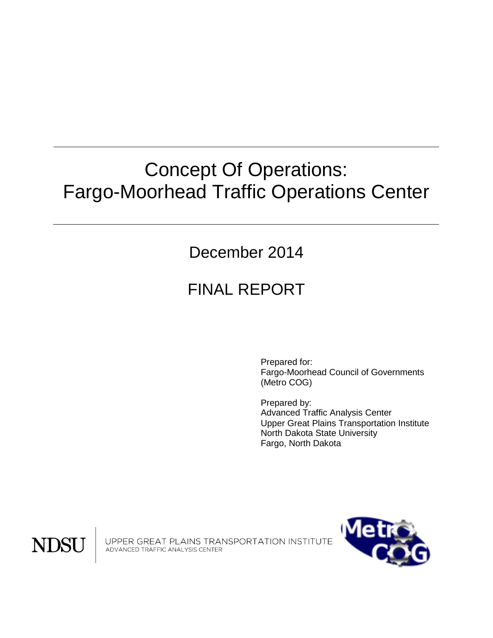# Concept Of Operations: Fargo-Moorhead Traffic Operations Center

# December 2014

# FINAL REPORT

Prepared for: Fargo-Moorhead Council of Governments (Metro COG)

Prepared by: Advanced Traffic Analysis Center Upper Great Plains Transportation Institute North Dakota State University Fargo, North Dakota



UPPER GREAT PLAINS TRANSPORTATION INSTITUTE<br>ADVANCED TRAFFIC ANALYSIS CENTER

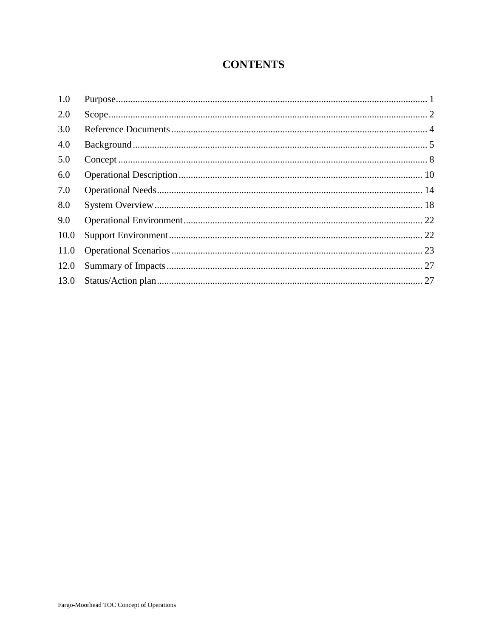# **CONTENTS**

| 1.0  |  |
|------|--|
| 2.0  |  |
| 3.0  |  |
| 4.0  |  |
| 5.0  |  |
| 6.0  |  |
| 7.0  |  |
| 8.0  |  |
| 9.0  |  |
| 10.0 |  |
| 11.0 |  |
| 12.0 |  |
| 13.0 |  |
|      |  |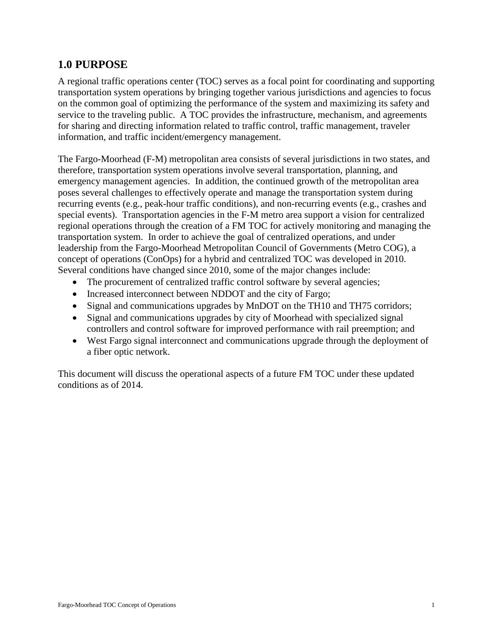# <span id="page-2-0"></span>**1.0 PURPOSE**

A regional traffic operations center (TOC) serves as a focal point for coordinating and supporting transportation system operations by bringing together various jurisdictions and agencies to focus on the common goal of optimizing the performance of the system and maximizing its safety and service to the traveling public. A TOC provides the infrastructure, mechanism, and agreements for sharing and directing information related to traffic control, traffic management, traveler information, and traffic incident/emergency management.

The Fargo-Moorhead (F-M) metropolitan area consists of several jurisdictions in two states, and therefore, transportation system operations involve several transportation, planning, and emergency management agencies. In addition, the continued growth of the metropolitan area poses several challenges to effectively operate and manage the transportation system during recurring events (e.g., peak-hour traffic conditions), and non-recurring events (e.g., crashes and special events). Transportation agencies in the F-M metro area support a vision for centralized regional operations through the creation of a FM TOC for actively monitoring and managing the transportation system. In order to achieve the goal of centralized operations, and under leadership from the Fargo-Moorhead Metropolitan Council of Governments (Metro COG), a concept of operations (ConOps) for a hybrid and centralized TOC was developed in 2010. Several conditions have changed since 2010, some of the major changes include:

- The procurement of centralized traffic control software by several agencies;
- Increased interconnect between NDDOT and the city of Fargo;
- Signal and communications upgrades by MnDOT on the TH10 and TH75 corridors;
- Signal and communications upgrades by city of Moorhead with specialized signal controllers and control software for improved performance with rail preemption; and
- West Fargo signal interconnect and communications upgrade through the deployment of a fiber optic network.

This document will discuss the operational aspects of a future FM TOC under these updated conditions as of 2014.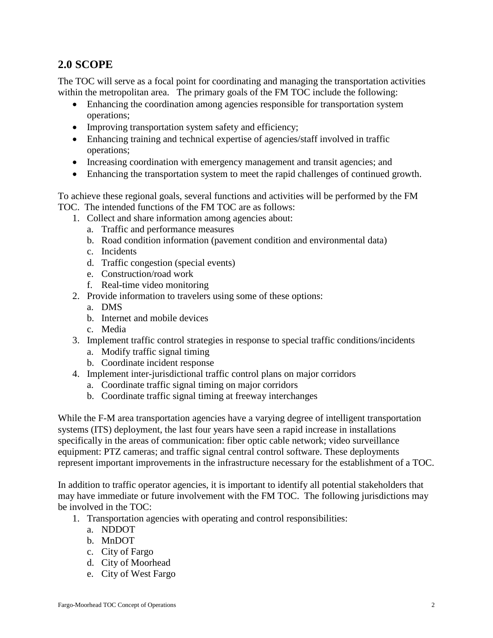# <span id="page-3-0"></span>**2.0 SCOPE**

The TOC will serve as a focal point for coordinating and managing the transportation activities within the metropolitan area. The primary goals of the FM TOC include the following:

- Enhancing the coordination among agencies responsible for transportation system operations;
- Improving transportation system safety and efficiency;
- Enhancing training and technical expertise of agencies/staff involved in traffic operations;
- Increasing coordination with emergency management and transit agencies; and
- Enhancing the transportation system to meet the rapid challenges of continued growth.

To achieve these regional goals, several functions and activities will be performed by the FM TOC. The intended functions of the FM TOC are as follows:

- 1. Collect and share information among agencies about:
	- a. Traffic and performance measures
	- b. Road condition information (pavement condition and environmental data)
	- c. Incidents
	- d. Traffic congestion (special events)
	- e. Construction/road work
	- f. Real-time video monitoring
- 2. Provide information to travelers using some of these options:
	- a. DMS
	- b. Internet and mobile devices
	- c. Media
- 3. Implement traffic control strategies in response to special traffic conditions/incidents
	- a. Modify traffic signal timing
	- b. Coordinate incident response
- 4. Implement inter-jurisdictional traffic control plans on major corridors
	- a. Coordinate traffic signal timing on major corridors
	- b. Coordinate traffic signal timing at freeway interchanges

While the F-M area transportation agencies have a varying degree of intelligent transportation systems (ITS) deployment, the last four years have seen a rapid increase in installations specifically in the areas of communication: fiber optic cable network; video surveillance equipment: PTZ cameras; and traffic signal central control software. These deployments represent important improvements in the infrastructure necessary for the establishment of a TOC.

In addition to traffic operator agencies, it is important to identify all potential stakeholders that may have immediate or future involvement with the FM TOC. The following jurisdictions may be involved in the TOC:

- 1. Transportation agencies with operating and control responsibilities:
	- a. NDDOT
	- b. MnDOT
	- c. City of Fargo
	- d. City of Moorhead
	- e. City of West Fargo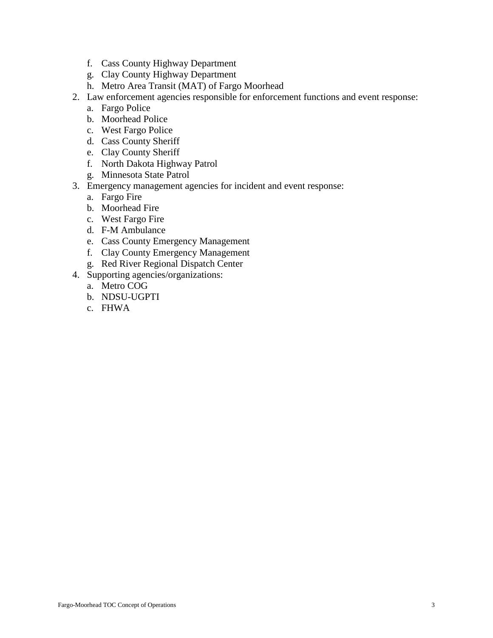- f. Cass County Highway Department
- g. Clay County Highway Department
- h. Metro Area Transit (MAT) of Fargo Moorhead
- 2. Law enforcement agencies responsible for enforcement functions and event response:
	- a. Fargo Police
	- b. Moorhead Police
	- c. West Fargo Police
	- d. Cass County Sheriff
	- e. Clay County Sheriff
	- f. North Dakota Highway Patrol
	- g. Minnesota State Patrol
- 3. Emergency management agencies for incident and event response:
	- a. Fargo Fire
	- b. Moorhead Fire
	- c. West Fargo Fire
	- d. F-M Ambulance
	- e. Cass County Emergency Management
	- f. Clay County Emergency Management
	- g. Red River Regional Dispatch Center
- 4. Supporting agencies/organizations:
	- a. Metro COG
	- b. NDSU-UGPTI
	- c. FHWA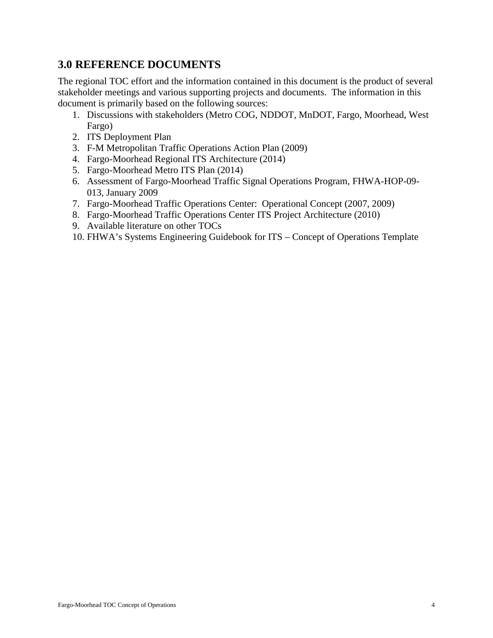# <span id="page-5-0"></span>**3.0 REFERENCE DOCUMENTS**

The regional TOC effort and the information contained in this document is the product of several stakeholder meetings and various supporting projects and documents. The information in this document is primarily based on the following sources:

- 1. Discussions with stakeholders (Metro COG, NDDOT, MnDOT, Fargo, Moorhead, West Fargo)
- 2. ITS Deployment Plan
- 3. F-M Metropolitan Traffic Operations Action Plan (2009)
- 4. Fargo-Moorhead Regional ITS Architecture (2014)
- 5. Fargo-Moorhead Metro ITS Plan (2014)
- 6. Assessment of Fargo-Moorhead Traffic Signal Operations Program, FHWA-HOP-09- 013, January 2009
- 7. Fargo-Moorhead Traffic Operations Center: Operational Concept (2007, 2009)
- 8. Fargo-Moorhead Traffic Operations Center ITS Project Architecture (2010)
- 9. Available literature on other TOCs
- 10. FHWA's Systems Engineering Guidebook for ITS Concept of Operations Template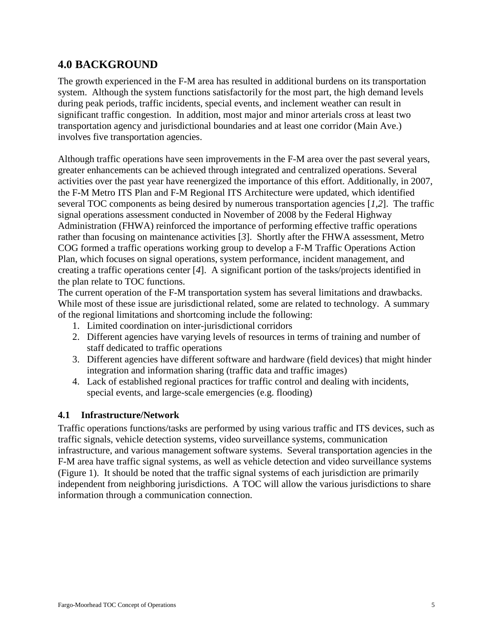# <span id="page-6-0"></span>**4.0 BACKGROUND**

The growth experienced in the F-M area has resulted in additional burdens on its transportation system. Although the system functions satisfactorily for the most part, the high demand levels during peak periods, traffic incidents, special events, and inclement weather can result in significant traffic congestion. In addition, most major and minor arterials cross at least two transportation agency and jurisdictional boundaries and at least one corridor (Main Ave.) involves five transportation agencies.

Although traffic operations have seen improvements in the F-M area over the past several years, greater enhancements can be achieved through integrated and centralized operations. Several activities over the past year have reenergized the importance of this effort. Additionally, in 2007, the F-M Metro ITS Plan and F-M Regional ITS Architecture were updated, which identified several TOC components as being desired by numerous transportation agencies [*1,2*]. The traffic signal operations assessment conducted in November of 2008 by the Federal Highway Administration (FHWA) reinforced the importance of performing effective traffic operations rather than focusing on maintenance activities [*3*]. Shortly after the FHWA assessment, Metro COG formed a traffic operations working group to develop a F-M Traffic Operations Action Plan, which focuses on signal operations, system performance, incident management, and creating a traffic operations center [*4*]. A significant portion of the tasks/projects identified in the plan relate to TOC functions.

The current operation of the F-M transportation system has several limitations and drawbacks. While most of these issue are jurisdictional related, some are related to technology. A summary of the regional limitations and shortcoming include the following:

- 1. Limited coordination on inter-jurisdictional corridors
- 2. Different agencies have varying levels of resources in terms of training and number of staff dedicated to traffic operations
- 3. Different agencies have different software and hardware (field devices) that might hinder integration and information sharing (traffic data and traffic images)
- 4. Lack of established regional practices for traffic control and dealing with incidents, special events, and large-scale emergencies (e.g. flooding)

#### **4.1 Infrastructure/Network**

Traffic operations functions/tasks are performed by using various traffic and ITS devices, such as traffic signals, vehicle detection systems, video surveillance systems, communication infrastructure, and various management software systems. Several transportation agencies in the F-M area have traffic signal systems, as well as vehicle detection and video surveillance systems (Figure 1). It should be noted that the traffic signal systems of each jurisdiction are primarily independent from neighboring jurisdictions. A TOC will allow the various jurisdictions to share information through a communication connection.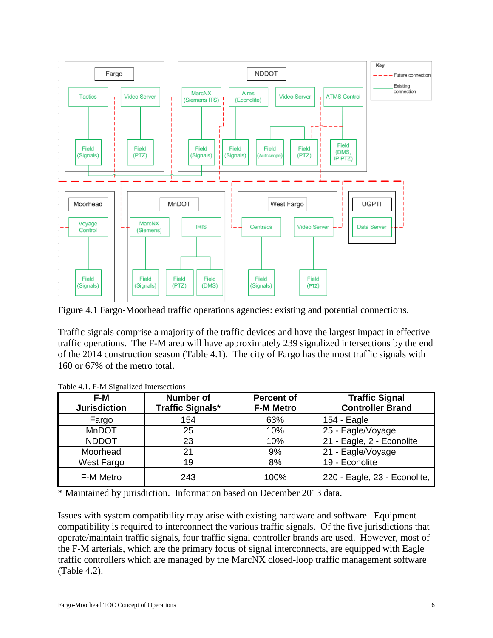

Figure 4.1 Fargo-Moorhead traffic operations agencies: existing and potential connections.

Traffic signals comprise a majority of the traffic devices and have the largest impact in effective traffic operations. The F-M area will have approximately 239 signalized intersections by the end of the 2014 construction season (Table 4.1). The city of Fargo has the most traffic signals with 160 or 67% of the metro total.

| $F-M$<br><b>Jurisdiction</b> | <b>Number of</b><br><b>Traffic Signals*</b> | <b>Percent of</b><br><b>F-M Metro</b> | <b>Traffic Signal</b><br><b>Controller Brand</b> |
|------------------------------|---------------------------------------------|---------------------------------------|--------------------------------------------------|
| Fargo                        | 154                                         | 63%                                   | 154 - Eagle                                      |
| <b>MnDOT</b>                 | 25                                          | 10%                                   | 25 - Eagle/Voyage                                |
| <b>NDDOT</b>                 | 23                                          | 10%                                   | 21 - Eagle, 2 - Econolite                        |
| Moorhead                     | 21                                          | 9%                                    | 21 - Eagle/Voyage                                |
| West Fargo                   | 19                                          | 8%                                    | 19 - Econolite                                   |
| F-M Metro                    | 243                                         | 100%                                  | 220 - Eagle, 23 - Econolite,                     |

Table 4.1. F-M Signalized Intersections

\* Maintained by jurisdiction. Information based on December 2013 data.

Issues with system compatibility may arise with existing hardware and software. Equipment compatibility is required to interconnect the various traffic signals. Of the five jurisdictions that operate/maintain traffic signals, four traffic signal controller brands are used. However, most of the F-M arterials, which are the primary focus of signal interconnects, are equipped with Eagle traffic controllers which are managed by the MarcNX closed-loop traffic management software (Table 4.2).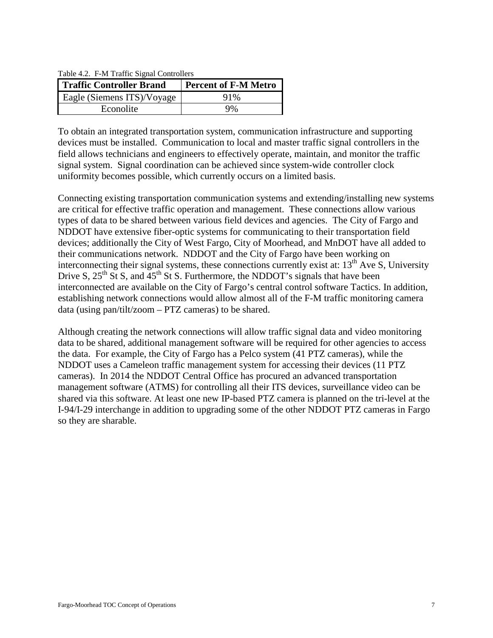| Table 4.2. F-M Traffic Signal Controllers |                             |  |  |  |  |  |  |
|-------------------------------------------|-----------------------------|--|--|--|--|--|--|
| Traffic Controller Brand                  | <b>Percent of F-M Metro</b> |  |  |  |  |  |  |
| Eagle (Siemens ITS)/Voyage                | 91%                         |  |  |  |  |  |  |
| Econolite                                 | 9%                          |  |  |  |  |  |  |

 $Table 4.2. EML T<sub>refto</sub> Signal Control$ 

To obtain an integrated transportation system, communication infrastructure and supporting devices must be installed. Communication to local and master traffic signal controllers in the field allows technicians and engineers to effectively operate, maintain, and monitor the traffic signal system. Signal coordination can be achieved since system-wide controller clock uniformity becomes possible, which currently occurs on a limited basis.

Connecting existing transportation communication systems and extending/installing new systems are critical for effective traffic operation and management. These connections allow various types of data to be shared between various field devices and agencies. The City of Fargo and NDDOT have extensive fiber-optic systems for communicating to their transportation field devices; additionally the City of West Fargo, City of Moorhead, and MnDOT have all added to their communications network. NDDOT and the City of Fargo have been working on interconnecting their signal systems, these connections currently exist at:  $13<sup>th</sup>$  Ave S, University Drive S,  $25<sup>th</sup>$  St S, and  $45<sup>th</sup>$  St S. Furthermore, the NDDOT's signals that have been interconnected are available on the City of Fargo's central control software Tactics. In addition, establishing network connections would allow almost all of the F-M traffic monitoring camera data (using pan/tilt/zoom – PTZ cameras) to be shared.

Although creating the network connections will allow traffic signal data and video monitoring data to be shared, additional management software will be required for other agencies to access the data. For example, the City of Fargo has a Pelco system (41 PTZ cameras), while the NDDOT uses a Cameleon traffic management system for accessing their devices (11 PTZ cameras). In 2014 the NDDOT Central Office has procured an advanced transportation management software (ATMS) for controlling all their ITS devices, surveillance video can be shared via this software. At least one new IP-based PTZ camera is planned on the tri-level at the I-94/I-29 interchange in addition to upgrading some of the other NDDOT PTZ cameras in Fargo so they are sharable.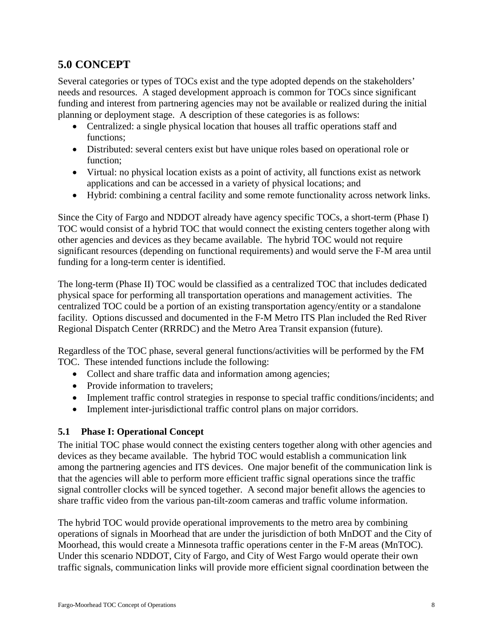# <span id="page-9-0"></span>**5.0 CONCEPT**

Several categories or types of TOCs exist and the type adopted depends on the stakeholders' needs and resources. A staged development approach is common for TOCs since significant funding and interest from partnering agencies may not be available or realized during the initial planning or deployment stage. A description of these categories is as follows:

- Centralized: a single physical location that houses all traffic operations staff and functions;
- Distributed: several centers exist but have unique roles based on operational role or function;
- Virtual: no physical location exists as a point of activity, all functions exist as network applications and can be accessed in a variety of physical locations; and
- Hybrid: combining a central facility and some remote functionality across network links.

Since the City of Fargo and NDDOT already have agency specific TOCs, a short-term (Phase I) TOC would consist of a hybrid TOC that would connect the existing centers together along with other agencies and devices as they became available. The hybrid TOC would not require significant resources (depending on functional requirements) and would serve the F-M area until funding for a long-term center is identified.

The long-term (Phase II) TOC would be classified as a centralized TOC that includes dedicated physical space for performing all transportation operations and management activities. The centralized TOC could be a portion of an existing transportation agency/entity or a standalone facility. Options discussed and documented in the F-M Metro ITS Plan included the Red River Regional Dispatch Center (RRRDC) and the Metro Area Transit expansion (future).

Regardless of the TOC phase, several general functions/activities will be performed by the FM TOC. These intended functions include the following:

- Collect and share traffic data and information among agencies;
- Provide information to travelers;
- Implement traffic control strategies in response to special traffic conditions/incidents; and
- Implement inter-jurisdictional traffic control plans on major corridors.

## **5.1 Phase I: Operational Concept**

The initial TOC phase would connect the existing centers together along with other agencies and devices as they became available. The hybrid TOC would establish a communication link among the partnering agencies and ITS devices. One major benefit of the communication link is that the agencies will able to perform more efficient traffic signal operations since the traffic signal controller clocks will be synced together. A second major benefit allows the agencies to share traffic video from the various pan-tilt-zoom cameras and traffic volume information.

The hybrid TOC would provide operational improvements to the metro area by combining operations of signals in Moorhead that are under the jurisdiction of both MnDOT and the City of Moorhead, this would create a Minnesota traffic operations center in the F-M areas (MnTOC). Under this scenario NDDOT, City of Fargo, and City of West Fargo would operate their own traffic signals, communication links will provide more efficient signal coordination between the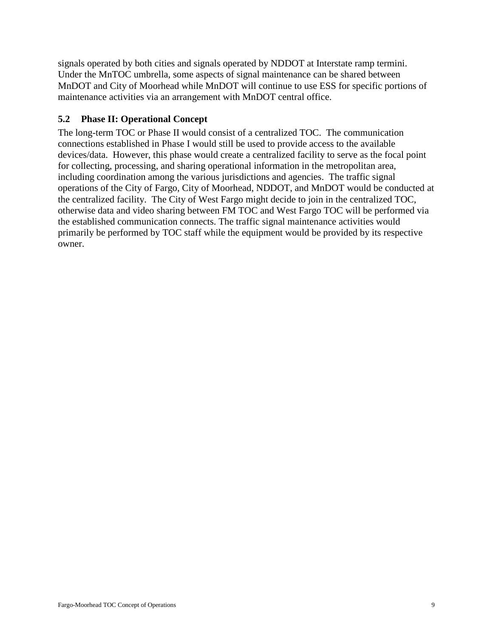signals operated by both cities and signals operated by NDDOT at Interstate ramp termini. Under the MnTOC umbrella, some aspects of signal maintenance can be shared between MnDOT and City of Moorhead while MnDOT will continue to use ESS for specific portions of maintenance activities via an arrangement with MnDOT central office.

## **5.2 Phase II: Operational Concept**

The long-term TOC or Phase II would consist of a centralized TOC. The communication connections established in Phase I would still be used to provide access to the available devices/data. However, this phase would create a centralized facility to serve as the focal point for collecting, processing, and sharing operational information in the metropolitan area, including coordination among the various jurisdictions and agencies. The traffic signal operations of the City of Fargo, City of Moorhead, NDDOT, and MnDOT would be conducted at the centralized facility. The City of West Fargo might decide to join in the centralized TOC, otherwise data and video sharing between FM TOC and West Fargo TOC will be performed via the established communication connects. The traffic signal maintenance activities would primarily be performed by TOC staff while the equipment would be provided by its respective owner.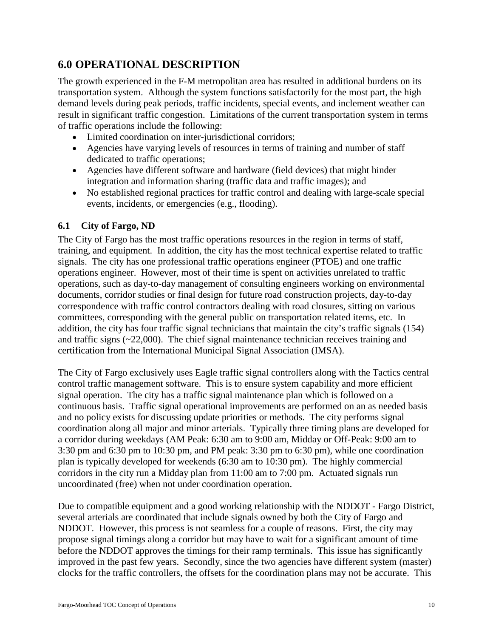# <span id="page-11-0"></span>**6.0 OPERATIONAL DESCRIPTION**

The growth experienced in the F-M metropolitan area has resulted in additional burdens on its transportation system. Although the system functions satisfactorily for the most part, the high demand levels during peak periods, traffic incidents, special events, and inclement weather can result in significant traffic congestion. Limitations of the current transportation system in terms of traffic operations include the following:

- Limited coordination on inter-jurisdictional corridors;
- Agencies have varying levels of resources in terms of training and number of staff dedicated to traffic operations;
- Agencies have different software and hardware (field devices) that might hinder integration and information sharing (traffic data and traffic images); and
- No established regional practices for traffic control and dealing with large-scale special events, incidents, or emergencies (e.g., flooding).

#### **6.1 City of Fargo, ND**

The City of Fargo has the most traffic operations resources in the region in terms of staff, training, and equipment. In addition, the city has the most technical expertise related to traffic signals. The city has one professional traffic operations engineer (PTOE) and one traffic operations engineer. However, most of their time is spent on activities unrelated to traffic operations, such as day-to-day management of consulting engineers working on environmental documents, corridor studies or final design for future road construction projects, day-to-day correspondence with traffic control contractors dealing with road closures, sitting on various committees, corresponding with the general public on transportation related items, etc. In addition, the city has four traffic signal technicians that maintain the city's traffic signals (154) and traffic signs (~22,000). The chief signal maintenance technician receives training and certification from the International Municipal Signal Association (IMSA).

The City of Fargo exclusively uses Eagle traffic signal controllers along with the Tactics central control traffic management software. This is to ensure system capability and more efficient signal operation. The city has a traffic signal maintenance plan which is followed on a continuous basis. Traffic signal operational improvements are performed on an as needed basis and no policy exists for discussing update priorities or methods. The city performs signal coordination along all major and minor arterials. Typically three timing plans are developed for a corridor during weekdays (AM Peak: 6:30 am to 9:00 am, Midday or Off-Peak: 9:00 am to 3:30 pm and 6:30 pm to 10:30 pm, and PM peak: 3:30 pm to 6:30 pm), while one coordination plan is typically developed for weekends (6:30 am to 10:30 pm). The highly commercial corridors in the city run a Midday plan from 11:00 am to 7:00 pm. Actuated signals run uncoordinated (free) when not under coordination operation.

Due to compatible equipment and a good working relationship with the NDDOT - Fargo District, several arterials are coordinated that include signals owned by both the City of Fargo and NDDOT. However, this process is not seamless for a couple of reasons. First, the city may propose signal timings along a corridor but may have to wait for a significant amount of time before the NDDOT approves the timings for their ramp terminals. This issue has significantly improved in the past few years. Secondly, since the two agencies have different system (master) clocks for the traffic controllers, the offsets for the coordination plans may not be accurate. This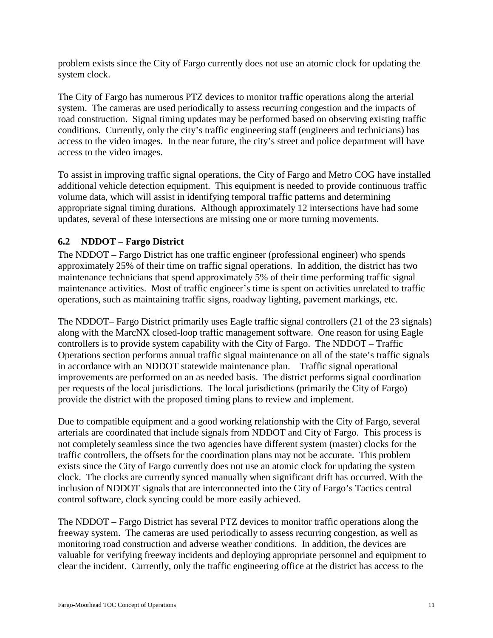problem exists since the City of Fargo currently does not use an atomic clock for updating the system clock.

The City of Fargo has numerous PTZ devices to monitor traffic operations along the arterial system. The cameras are used periodically to assess recurring congestion and the impacts of road construction. Signal timing updates may be performed based on observing existing traffic conditions. Currently, only the city's traffic engineering staff (engineers and technicians) has access to the video images. In the near future, the city's street and police department will have access to the video images.

To assist in improving traffic signal operations, the City of Fargo and Metro COG have installed additional vehicle detection equipment. This equipment is needed to provide continuous traffic volume data, which will assist in identifying temporal traffic patterns and determining appropriate signal timing durations. Although approximately 12 intersections have had some updates, several of these intersections are missing one or more turning movements.

# **6.2 NDDOT – Fargo District**

The NDDOT – Fargo District has one traffic engineer (professional engineer) who spends approximately 25% of their time on traffic signal operations. In addition, the district has two maintenance technicians that spend approximately 5% of their time performing traffic signal maintenance activities. Most of traffic engineer's time is spent on activities unrelated to traffic operations, such as maintaining traffic signs, roadway lighting, pavement markings, etc.

The NDDOT– Fargo District primarily uses Eagle traffic signal controllers (21 of the 23 signals) along with the MarcNX closed-loop traffic management software. One reason for using Eagle controllers is to provide system capability with the City of Fargo. The NDDOT – Traffic Operations section performs annual traffic signal maintenance on all of the state's traffic signals in accordance with an NDDOT statewide maintenance plan. Traffic signal operational improvements are performed on an as needed basis. The district performs signal coordination per requests of the local jurisdictions. The local jurisdictions (primarily the City of Fargo) provide the district with the proposed timing plans to review and implement.

Due to compatible equipment and a good working relationship with the City of Fargo, several arterials are coordinated that include signals from NDDOT and City of Fargo. This process is not completely seamless since the two agencies have different system (master) clocks for the traffic controllers, the offsets for the coordination plans may not be accurate. This problem exists since the City of Fargo currently does not use an atomic clock for updating the system clock. The clocks are currently synced manually when significant drift has occurred. With the inclusion of NDDOT signals that are interconnected into the City of Fargo's Tactics central control software, clock syncing could be more easily achieved.

The NDDOT – Fargo District has several PTZ devices to monitor traffic operations along the freeway system. The cameras are used periodically to assess recurring congestion, as well as monitoring road construction and adverse weather conditions. In addition, the devices are valuable for verifying freeway incidents and deploying appropriate personnel and equipment to clear the incident. Currently, only the traffic engineering office at the district has access to the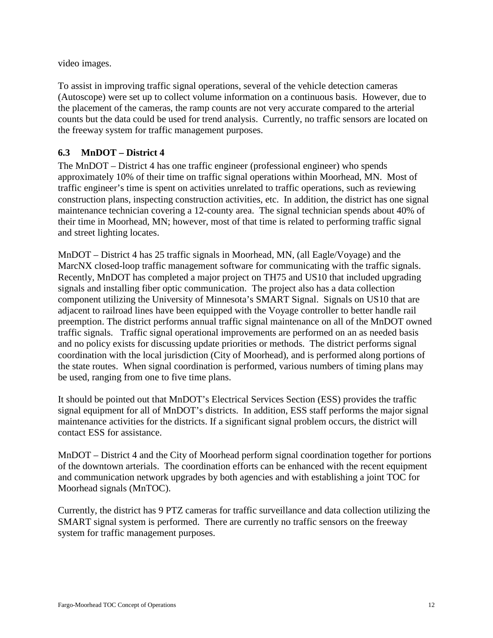video images.

To assist in improving traffic signal operations, several of the vehicle detection cameras (Autoscope) were set up to collect volume information on a continuous basis. However, due to the placement of the cameras, the ramp counts are not very accurate compared to the arterial counts but the data could be used for trend analysis. Currently, no traffic sensors are located on the freeway system for traffic management purposes.

## **6.3 MnDOT – District 4**

The MnDOT – District 4 has one traffic engineer (professional engineer) who spends approximately 10% of their time on traffic signal operations within Moorhead, MN. Most of traffic engineer's time is spent on activities unrelated to traffic operations, such as reviewing construction plans, inspecting construction activities, etc. In addition, the district has one signal maintenance technician covering a 12-county area. The signal technician spends about 40% of their time in Moorhead, MN; however, most of that time is related to performing traffic signal and street lighting locates.

MnDOT – District 4 has 25 traffic signals in Moorhead, MN, (all Eagle/Voyage) and the MarcNX closed-loop traffic management software for communicating with the traffic signals. Recently, MnDOT has completed a major project on TH75 and US10 that included upgrading signals and installing fiber optic communication. The project also has a data collection component utilizing the University of Minnesota's SMART Signal. Signals on US10 that are adjacent to railroad lines have been equipped with the Voyage controller to better handle rail preemption. The district performs annual traffic signal maintenance on all of the MnDOT owned traffic signals. Traffic signal operational improvements are performed on an as needed basis and no policy exists for discussing update priorities or methods. The district performs signal coordination with the local jurisdiction (City of Moorhead), and is performed along portions of the state routes. When signal coordination is performed, various numbers of timing plans may be used, ranging from one to five time plans.

It should be pointed out that MnDOT's Electrical Services Section (ESS) provides the traffic signal equipment for all of MnDOT's districts. In addition, ESS staff performs the major signal maintenance activities for the districts. If a significant signal problem occurs, the district will contact ESS for assistance.

MnDOT – District 4 and the City of Moorhead perform signal coordination together for portions of the downtown arterials. The coordination efforts can be enhanced with the recent equipment and communication network upgrades by both agencies and with establishing a joint TOC for Moorhead signals (MnTOC).

Currently, the district has 9 PTZ cameras for traffic surveillance and data collection utilizing the SMART signal system is performed. There are currently no traffic sensors on the freeway system for traffic management purposes.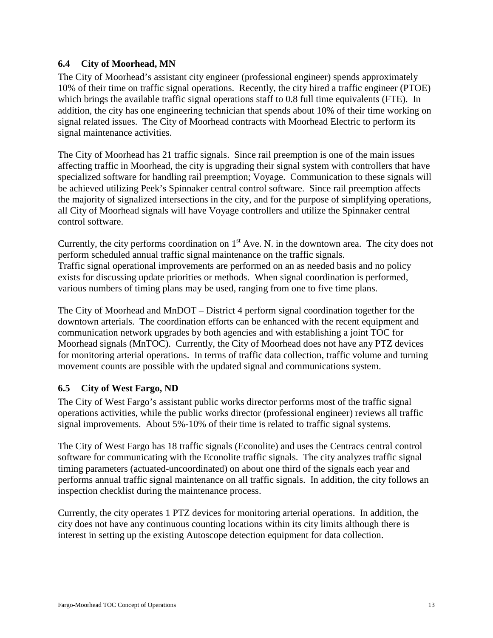#### **6.4 City of Moorhead, MN**

The City of Moorhead's assistant city engineer (professional engineer) spends approximately 10% of their time on traffic signal operations. Recently, the city hired a traffic engineer (PTOE) which brings the available traffic signal operations staff to 0.8 full time equivalents (FTE). In addition, the city has one engineering technician that spends about 10% of their time working on signal related issues. The City of Moorhead contracts with Moorhead Electric to perform its signal maintenance activities.

The City of Moorhead has 21 traffic signals. Since rail preemption is one of the main issues affecting traffic in Moorhead, the city is upgrading their signal system with controllers that have specialized software for handling rail preemption; Voyage. Communication to these signals will be achieved utilizing Peek's Spinnaker central control software. Since rail preemption affects the majority of signalized intersections in the city, and for the purpose of simplifying operations, all City of Moorhead signals will have Voyage controllers and utilize the Spinnaker central control software.

Currently, the city performs coordination on  $1<sup>st</sup>$  Ave. N. in the downtown area. The city does not perform scheduled annual traffic signal maintenance on the traffic signals. Traffic signal operational improvements are performed on an as needed basis and no policy exists for discussing update priorities or methods. When signal coordination is performed, various numbers of timing plans may be used, ranging from one to five time plans.

The City of Moorhead and MnDOT – District 4 perform signal coordination together for the downtown arterials. The coordination efforts can be enhanced with the recent equipment and communication network upgrades by both agencies and with establishing a joint TOC for Moorhead signals (MnTOC). Currently, the City of Moorhead does not have any PTZ devices for monitoring arterial operations. In terms of traffic data collection, traffic volume and turning movement counts are possible with the updated signal and communications system.

#### **6.5 City of West Fargo, ND**

The City of West Fargo's assistant public works director performs most of the traffic signal operations activities, while the public works director (professional engineer) reviews all traffic signal improvements. About 5%-10% of their time is related to traffic signal systems.

The City of West Fargo has 18 traffic signals (Econolite) and uses the Centracs central control software for communicating with the Econolite traffic signals. The city analyzes traffic signal timing parameters (actuated-uncoordinated) on about one third of the signals each year and performs annual traffic signal maintenance on all traffic signals. In addition, the city follows an inspection checklist during the maintenance process.

Currently, the city operates 1 PTZ devices for monitoring arterial operations. In addition, the city does not have any continuous counting locations within its city limits although there is interest in setting up the existing Autoscope detection equipment for data collection.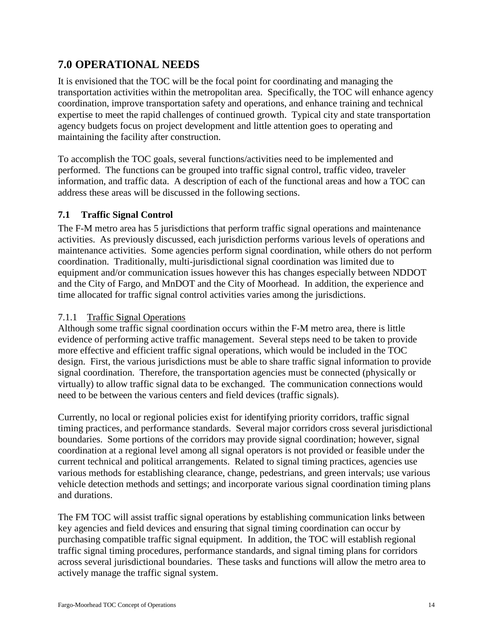# <span id="page-15-0"></span>**7.0 OPERATIONAL NEEDS**

It is envisioned that the TOC will be the focal point for coordinating and managing the transportation activities within the metropolitan area. Specifically, the TOC will enhance agency coordination, improve transportation safety and operations, and enhance training and technical expertise to meet the rapid challenges of continued growth. Typical city and state transportation agency budgets focus on project development and little attention goes to operating and maintaining the facility after construction.

To accomplish the TOC goals, several functions/activities need to be implemented and performed. The functions can be grouped into traffic signal control, traffic video, traveler information, and traffic data. A description of each of the functional areas and how a TOC can address these areas will be discussed in the following sections.

## **7.1 Traffic Signal Control**

The F-M metro area has 5 jurisdictions that perform traffic signal operations and maintenance activities. As previously discussed, each jurisdiction performs various levels of operations and maintenance activities. Some agencies perform signal coordination, while others do not perform coordination. Traditionally, multi-jurisdictional signal coordination was limited due to equipment and/or communication issues however this has changes especially between NDDOT and the City of Fargo, and MnDOT and the City of Moorhead. In addition, the experience and time allocated for traffic signal control activities varies among the jurisdictions.

#### 7.1.1 Traffic Signal Operations

Although some traffic signal coordination occurs within the F-M metro area, there is little evidence of performing active traffic management. Several steps need to be taken to provide more effective and efficient traffic signal operations, which would be included in the TOC design. First, the various jurisdictions must be able to share traffic signal information to provide signal coordination. Therefore, the transportation agencies must be connected (physically or virtually) to allow traffic signal data to be exchanged. The communication connections would need to be between the various centers and field devices (traffic signals).

Currently, no local or regional policies exist for identifying priority corridors, traffic signal timing practices, and performance standards. Several major corridors cross several jurisdictional boundaries. Some portions of the corridors may provide signal coordination; however, signal coordination at a regional level among all signal operators is not provided or feasible under the current technical and political arrangements. Related to signal timing practices, agencies use various methods for establishing clearance, change, pedestrians, and green intervals; use various vehicle detection methods and settings; and incorporate various signal coordination timing plans and durations.

The FM TOC will assist traffic signal operations by establishing communication links between key agencies and field devices and ensuring that signal timing coordination can occur by purchasing compatible traffic signal equipment. In addition, the TOC will establish regional traffic signal timing procedures, performance standards, and signal timing plans for corridors across several jurisdictional boundaries. These tasks and functions will allow the metro area to actively manage the traffic signal system.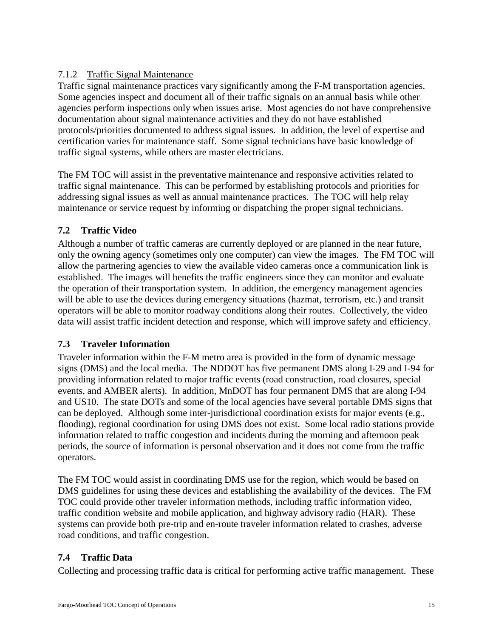## 7.1.2 Traffic Signal Maintenance

Traffic signal maintenance practices vary significantly among the F-M transportation agencies. Some agencies inspect and document all of their traffic signals on an annual basis while other agencies perform inspections only when issues arise. Most agencies do not have comprehensive documentation about signal maintenance activities and they do not have established protocols/priorities documented to address signal issues. In addition, the level of expertise and certification varies for maintenance staff. Some signal technicians have basic knowledge of traffic signal systems, while others are master electricians.

The FM TOC will assist in the preventative maintenance and responsive activities related to traffic signal maintenance. This can be performed by establishing protocols and priorities for addressing signal issues as well as annual maintenance practices. The TOC will help relay maintenance or service request by informing or dispatching the proper signal technicians.

## **7.2 Traffic Video**

Although a number of traffic cameras are currently deployed or are planned in the near future, only the owning agency (sometimes only one computer) can view the images. The FM TOC will allow the partnering agencies to view the available video cameras once a communication link is established. The images will benefits the traffic engineers since they can monitor and evaluate the operation of their transportation system. In addition, the emergency management agencies will be able to use the devices during emergency situations (hazmat, terrorism, etc.) and transit operators will be able to monitor roadway conditions along their routes. Collectively, the video data will assist traffic incident detection and response, which will improve safety and efficiency.

## **7.3 Traveler Information**

Traveler information within the F-M metro area is provided in the form of dynamic message signs (DMS) and the local media. The NDDOT has five permanent DMS along I-29 and I-94 for providing information related to major traffic events (road construction, road closures, special events, and AMBER alerts). In addition, MnDOT has four permanent DMS that are along I-94 and US10. The state DOTs and some of the local agencies have several portable DMS signs that can be deployed. Although some inter-jurisdictional coordination exists for major events (e.g., flooding), regional coordination for using DMS does not exist. Some local radio stations provide information related to traffic congestion and incidents during the morning and afternoon peak periods, the source of information is personal observation and it does not come from the traffic operators.

The FM TOC would assist in coordinating DMS use for the region, which would be based on DMS guidelines for using these devices and establishing the availability of the devices. The FM TOC could provide other traveler information methods, including traffic information video, traffic condition website and mobile application, and highway advisory radio (HAR). These systems can provide both pre-trip and en-route traveler information related to crashes, adverse road conditions, and traffic congestion.

## **7.4 Traffic Data**

Collecting and processing traffic data is critical for performing active traffic management. These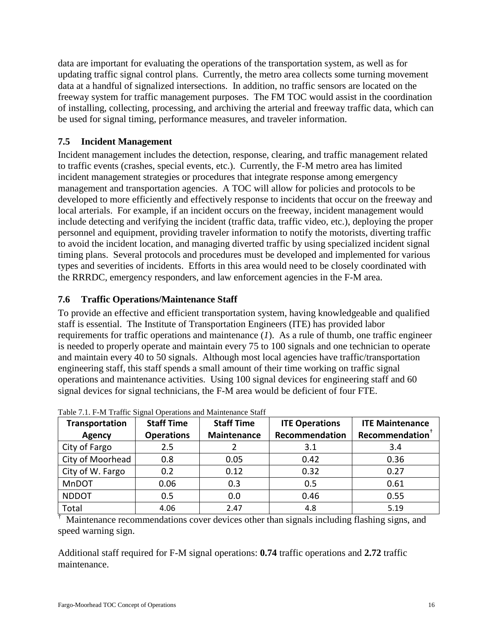data are important for evaluating the operations of the transportation system, as well as for updating traffic signal control plans. Currently, the metro area collects some turning movement data at a handful of signalized intersections. In addition, no traffic sensors are located on the freeway system for traffic management purposes. The FM TOC would assist in the coordination of installing, collecting, processing, and archiving the arterial and freeway traffic data, which can be used for signal timing, performance measures, and traveler information.

### **7.5 Incident Management**

Incident management includes the detection, response, clearing, and traffic management related to traffic events (crashes, special events, etc.). Currently, the F-M metro area has limited incident management strategies or procedures that integrate response among emergency management and transportation agencies. A TOC will allow for policies and protocols to be developed to more efficiently and effectively response to incidents that occur on the freeway and local arterials. For example, if an incident occurs on the freeway, incident management would include detecting and verifying the incident (traffic data, traffic video, etc.), deploying the proper personnel and equipment, providing traveler information to notify the motorists, diverting traffic to avoid the incident location, and managing diverted traffic by using specialized incident signal timing plans. Several protocols and procedures must be developed and implemented for various types and severities of incidents. Efforts in this area would need to be closely coordinated with the RRRDC, emergency responders, and law enforcement agencies in the F-M area.

## **7.6 Traffic Operations/Maintenance Staff**

To provide an effective and efficient transportation system, having knowledgeable and qualified staff is essential. The Institute of Transportation Engineers (ITE) has provided labor requirements for traffic operations and maintenance (*1*). As a rule of thumb, one traffic engineer is needed to properly operate and maintain every 75 to 100 signals and one technician to operate and maintain every 40 to 50 signals. Although most local agencies have traffic/transportation engineering staff, this staff spends a small amount of their time working on traffic signal operations and maintenance activities. Using 100 signal devices for engineering staff and 60 signal devices for signal technicians, the F-M area would be deficient of four FTE.

| Transportation   | <b>Staff Time</b> | <b>Staff Time</b>  | <b>ITE Operations</b> | <b>ITE Maintenance</b>      |  |  |
|------------------|-------------------|--------------------|-----------------------|-----------------------------|--|--|
| <b>Agency</b>    | <b>Operations</b> | <b>Maintenance</b> | Recommendation        | Recommendation <sup>1</sup> |  |  |
| City of Fargo    | 2.5               |                    | 3.1                   | 3.4                         |  |  |
| City of Moorhead | 0.8               | 0.05               | 0.42                  | 0.36                        |  |  |
| City of W. Fargo | 0.2               | 0.12               | 0.32                  | 0.27                        |  |  |
| <b>MnDOT</b>     | 0.06              | 0.3                | 0.5                   | 0.61                        |  |  |
| <b>NDDOT</b>     | 0.5               | 0.0                | 0.46                  | 0.55                        |  |  |
| Total            | 4.06              | 2.47               | 4.8                   | 5.19                        |  |  |

Table 7.1. F-M Traffic Signal Operations and Maintenance Staff

<sup>†</sup> Maintenance recommendations cover devices other than signals including flashing signs, and speed warning sign.

Additional staff required for F-M signal operations: **0.74** traffic operations and **2.72** traffic maintenance.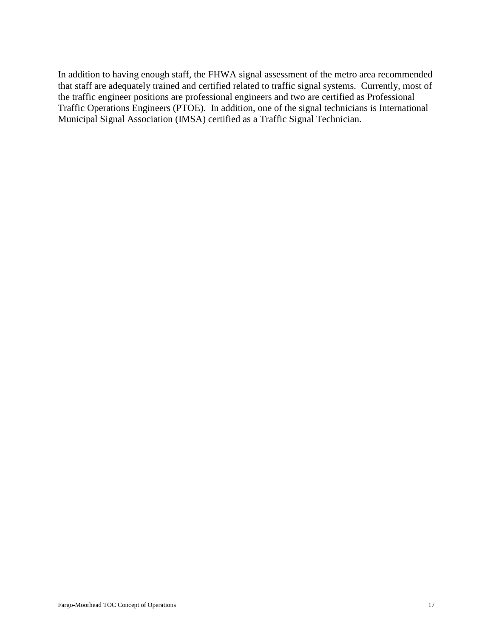In addition to having enough staff, the FHWA signal assessment of the metro area recommended that staff are adequately trained and certified related to traffic signal systems. Currently, most of the traffic engineer positions are professional engineers and two are certified as Professional Traffic Operations Engineers (PTOE). In addition, one of the signal technicians is International Municipal Signal Association (IMSA) certified as a Traffic Signal Technician.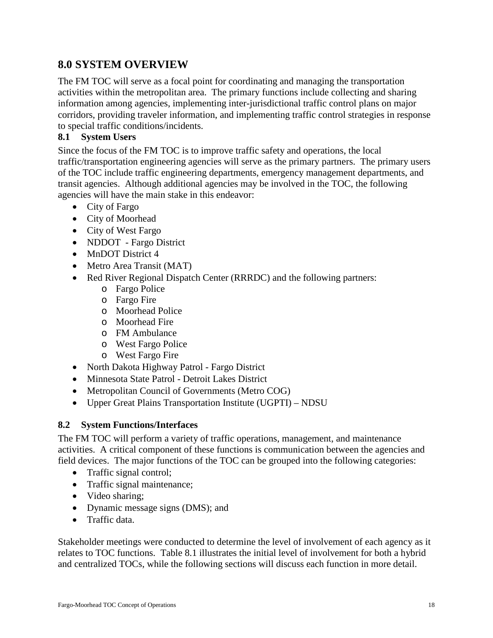# <span id="page-19-0"></span>**8.0 SYSTEM OVERVIEW**

The FM TOC will serve as a focal point for coordinating and managing the transportation activities within the metropolitan area. The primary functions include collecting and sharing information among agencies, implementing inter-jurisdictional traffic control plans on major corridors, providing traveler information, and implementing traffic control strategies in response to special traffic conditions/incidents.

## **8.1 System Users**

Since the focus of the FM TOC is to improve traffic safety and operations, the local traffic/transportation engineering agencies will serve as the primary partners. The primary users of the TOC include traffic engineering departments, emergency management departments, and transit agencies. Although additional agencies may be involved in the TOC, the following agencies will have the main stake in this endeavor:

- City of Fargo
- City of Moorhead
- City of West Fargo
- NDDOT Fargo District
- MnDOT District 4
- Metro Area Transit (MAT)
- Red River Regional Dispatch Center (RRRDC) and the following partners:
	- o Fargo Police
	- o Fargo Fire
	- o Moorhead Police
	- o Moorhead Fire
	- o FM Ambulance
	- o West Fargo Police
	- o West Fargo Fire
- North Dakota Highway Patrol Fargo District
- Minnesota State Patrol Detroit Lakes District
- Metropolitan Council of Governments (Metro COG)
- Upper Great Plains Transportation Institute (UGPTI) NDSU

#### **8.2 System Functions/Interfaces**

The FM TOC will perform a variety of traffic operations, management, and maintenance activities. A critical component of these functions is communication between the agencies and field devices. The major functions of the TOC can be grouped into the following categories:

- Traffic signal control;
- Traffic signal maintenance;
- Video sharing;
- Dynamic message signs (DMS); and
- Traffic data.

Stakeholder meetings were conducted to determine the level of involvement of each agency as it relates to TOC functions. Table 8.1 illustrates the initial level of involvement for both a hybrid and centralized TOCs, while the following sections will discuss each function in more detail.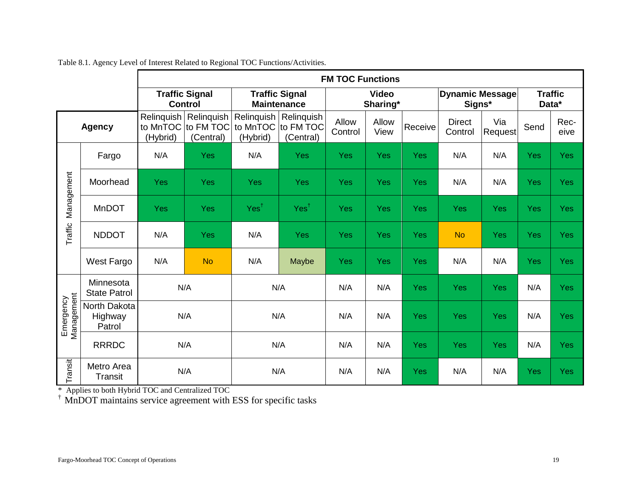|                         |                                   | <b>FM TOC Functions</b>                 |                                                     |                                             |                                                   |                          |               |                                  |                          |                         |      |              |
|-------------------------|-----------------------------------|-----------------------------------------|-----------------------------------------------------|---------------------------------------------|---------------------------------------------------|--------------------------|---------------|----------------------------------|--------------------------|-------------------------|------|--------------|
|                         |                                   | <b>Traffic Signal</b><br><b>Control</b> |                                                     | <b>Traffic Signal</b><br><b>Maintenance</b> |                                                   | <b>Video</b><br>Sharing* |               | <b>Dynamic Message</b><br>Signs* |                          | <b>Traffic</b><br>Data* |      |              |
| <b>Agency</b>           |                                   | to MnTOC<br>(Hybrid)                    | Relinquish   Relinquish  <br>to FM TOC<br>(Central) | to MnTOC<br>(Hybrid)                        | Relinquish   Relinquish<br>to FM TOC<br>(Central) | Allow<br>Control         | Allow<br>View | Receive                          | <b>Direct</b><br>Control | Via<br>Request          | Send | Rec-<br>eive |
| Management<br>Traffic   | Fargo                             | N/A                                     | Yes                                                 | N/A                                         | <b>Yes</b>                                        | Yes                      | Yes           | Yes                              | N/A                      | N/A                     | Yes  | Yes          |
|                         | Moorhead                          | Yes                                     | Yes                                                 | Yes                                         | Yes                                               | <b>Yes</b>               | Yes           | Yes                              | N/A                      | N/A                     | Yes  | Yes          |
|                         | <b>MnDOT</b>                      | Yes                                     | Yes                                                 | Yes <sup>†</sup>                            | Yes <sup>†</sup>                                  | Yes                      | Yes           | Yes                              | Yes                      | Yes                     | Yes  | Yes          |
|                         | <b>NDDOT</b>                      | N/A                                     | Yes                                                 | N/A                                         | Yes                                               | Yes                      | <b>Yes</b>    | Yes                              | <b>No</b>                | Yes                     | Yes  | Yes          |
|                         | West Fargo                        | N/A                                     | <b>No</b>                                           | N/A                                         | Maybe                                             | Yes                      | Yes           | Yes                              | N/A                      | N/A                     | Yes  | Yes          |
| Emergency<br>Management | Minnesota<br><b>State Patrol</b>  | N/A                                     |                                                     | N/A                                         |                                                   | N/A                      | N/A           | Yes                              | Yes                      | Yes                     | N/A  | Yes          |
|                         | North Dakota<br>Highway<br>Patrol | N/A                                     |                                                     | N/A                                         |                                                   | N/A                      | N/A           | Yes                              | Yes                      | Yes                     | N/A  | Yes          |
|                         | <b>RRRDC</b>                      | N/A                                     |                                                     | N/A                                         |                                                   | N/A                      | N/A           | Yes                              | Yes                      | Yes                     | N/A  | Yes          |
| Transit                 | Metro Area<br>Transit             |                                         | N/A                                                 | N/A                                         |                                                   | N/A                      | N/A           | Yes                              | N/A                      | N/A                     | Yes  | Yes          |

Table 8.1. Agency Level of Interest Related to Regional TOC Functions/Activities.

\* Applies to both Hybrid TOC and Centralized TOC

† MnDOT maintains service agreement with ESS for specific tasks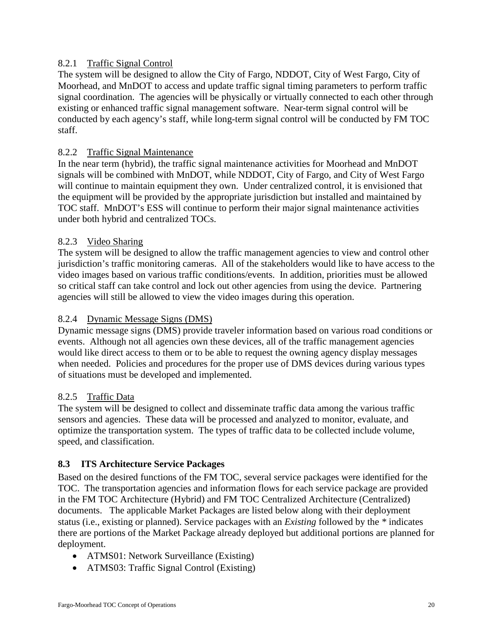#### 8.2.1 Traffic Signal Control

The system will be designed to allow the City of Fargo, NDDOT, City of West Fargo, City of Moorhead, and MnDOT to access and update traffic signal timing parameters to perform traffic signal coordination. The agencies will be physically or virtually connected to each other through existing or enhanced traffic signal management software. Near-term signal control will be conducted by each agency's staff, while long-term signal control will be conducted by FM TOC staff.

#### 8.2.2 Traffic Signal Maintenance

In the near term (hybrid), the traffic signal maintenance activities for Moorhead and MnDOT signals will be combined with MnDOT, while NDDOT, City of Fargo, and City of West Fargo will continue to maintain equipment they own. Under centralized control, it is envisioned that the equipment will be provided by the appropriate jurisdiction but installed and maintained by TOC staff. MnDOT's ESS will continue to perform their major signal maintenance activities under both hybrid and centralized TOCs.

#### 8.2.3 Video Sharing

The system will be designed to allow the traffic management agencies to view and control other jurisdiction's traffic monitoring cameras. All of the stakeholders would like to have access to the video images based on various traffic conditions/events. In addition, priorities must be allowed so critical staff can take control and lock out other agencies from using the device. Partnering agencies will still be allowed to view the video images during this operation.

#### 8.2.4 Dynamic Message Signs (DMS)

Dynamic message signs (DMS) provide traveler information based on various road conditions or events. Although not all agencies own these devices, all of the traffic management agencies would like direct access to them or to be able to request the owning agency display messages when needed. Policies and procedures for the proper use of DMS devices during various types of situations must be developed and implemented.

#### 8.2.5 Traffic Data

The system will be designed to collect and disseminate traffic data among the various traffic sensors and agencies. These data will be processed and analyzed to monitor, evaluate, and optimize the transportation system. The types of traffic data to be collected include volume, speed, and classification.

#### **8.3 ITS Architecture Service Packages**

Based on the desired functions of the FM TOC, several service packages were identified for the TOC. The transportation agencies and information flows for each service package are provided in the FM TOC Architecture (Hybrid) and FM TOC Centralized Architecture (Centralized) documents. The applicable Market Packages are listed below along with their deployment status (i.e., existing or planned). Service packages with an *Existing* followed by the *\** indicates there are portions of the Market Package already deployed but additional portions are planned for deployment.

- ATMS01: Network Surveillance (Existing)
- ATMS03: Traffic Signal Control (Existing)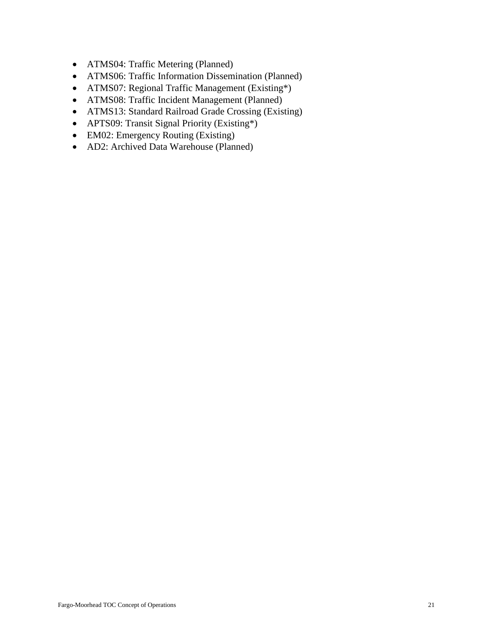- ATMS04: Traffic Metering (Planned)
- ATMS06: Traffic Information Dissemination (Planned)
- ATMS07: Regional Traffic Management (Existing\*)
- ATMS08: Traffic Incident Management (Planned)
- ATMS13: Standard Railroad Grade Crossing (Existing)
- APTS09: Transit Signal Priority (Existing\*)
- EM02: Emergency Routing (Existing)
- AD2: Archived Data Warehouse (Planned)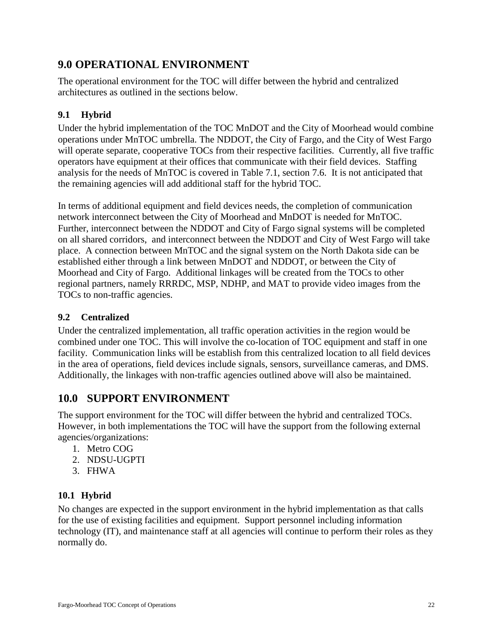# <span id="page-23-0"></span>**9.0 OPERATIONAL ENVIRONMENT**

The operational environment for the TOC will differ between the hybrid and centralized architectures as outlined in the sections below.

## **9.1 Hybrid**

Under the hybrid implementation of the TOC MnDOT and the City of Moorhead would combine operations under MnTOC umbrella. The NDDOT, the City of Fargo, and the City of West Fargo will operate separate, cooperative TOCs from their respective facilities. Currently, all five traffic operators have equipment at their offices that communicate with their field devices. Staffing analysis for the needs of MnTOC is covered in Table 7.1, section 7.6. It is not anticipated that the remaining agencies will add additional staff for the hybrid TOC.

In terms of additional equipment and field devices needs, the completion of communication network interconnect between the City of Moorhead and MnDOT is needed for MnTOC. Further, interconnect between the NDDOT and City of Fargo signal systems will be completed on all shared corridors, and interconnect between the NDDOT and City of West Fargo will take place. A connection between MnTOC and the signal system on the North Dakota side can be established either through a link between MnDOT and NDDOT, or between the City of Moorhead and City of Fargo. Additional linkages will be created from the TOCs to other regional partners, namely RRRDC, MSP, NDHP, and MAT to provide video images from the TOCs to non-traffic agencies.

## **9.2 Centralized**

Under the centralized implementation, all traffic operation activities in the region would be combined under one TOC. This will involve the co-location of TOC equipment and staff in one facility. Communication links will be establish from this centralized location to all field devices in the area of operations, field devices include signals, sensors, surveillance cameras, and DMS. Additionally, the linkages with non-traffic agencies outlined above will also be maintained.

# <span id="page-23-1"></span>**10.0 SUPPORT ENVIRONMENT**

The support environment for the TOC will differ between the hybrid and centralized TOCs. However, in both implementations the TOC will have the support from the following external agencies/organizations:

- 1. Metro COG
- 2. NDSU-UGPTI
- 3. FHWA

## **10.1 Hybrid**

No changes are expected in the support environment in the hybrid implementation as that calls for the use of existing facilities and equipment. Support personnel including information technology (IT), and maintenance staff at all agencies will continue to perform their roles as they normally do.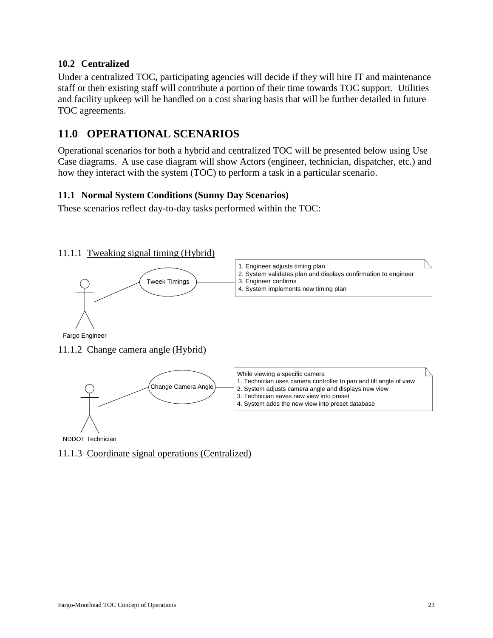#### **10.2 Centralized**

Under a centralized TOC, participating agencies will decide if they will hire IT and maintenance staff or their existing staff will contribute a portion of their time towards TOC support. Utilities and facility upkeep will be handled on a cost sharing basis that will be further detailed in future TOC agreements.

# <span id="page-24-0"></span>**11.0 OPERATIONAL SCENARIOS**

Operational scenarios for both a hybrid and centralized TOC will be presented below using Use Case diagrams. A use case diagram will show Actors (engineer, technician, dispatcher, etc.) and how they interact with the system (TOC) to perform a task in a particular scenario.

#### **11.1 Normal System Conditions (Sunny Day Scenarios)**

These scenarios reflect day-to-day tasks performed within the TOC:

#### 11.1.1 Tweaking signal timing (Hybrid)



Fargo Engineer

11.1.2 Change camera angle (Hybrid)



11.1.3 Coordinate signal operations (Centralized)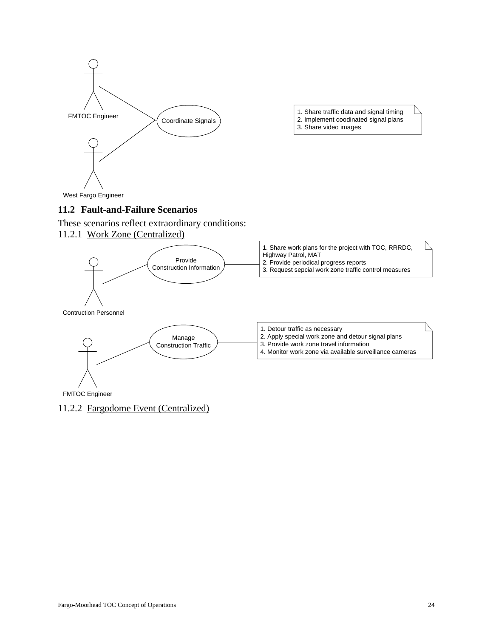

West Fargo Engineer

#### **11.2 Fault-and-Failure Scenarios**

These scenarios reflect extraordinary conditions: 11.2.1 Work Zone (Centralized)



#### 11.2.2 Fargodome Event (Centralized)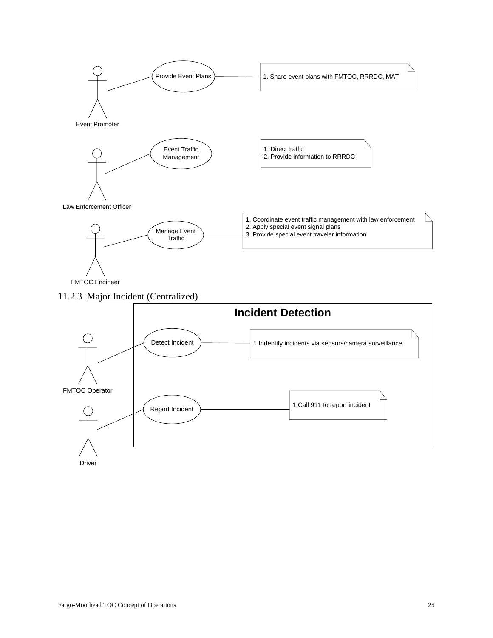



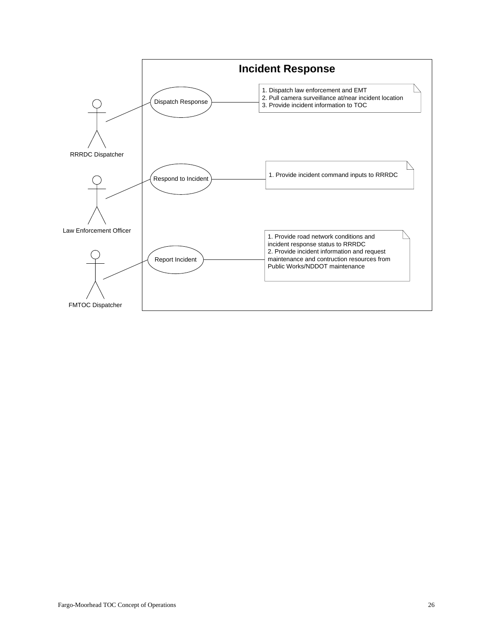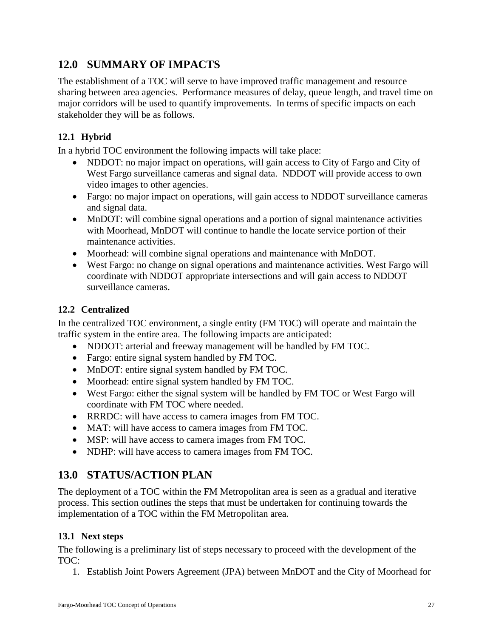# <span id="page-28-0"></span>**12.0 SUMMARY OF IMPACTS**

The establishment of a TOC will serve to have improved traffic management and resource sharing between area agencies. Performance measures of delay, queue length, and travel time on major corridors will be used to quantify improvements. In terms of specific impacts on each stakeholder they will be as follows.

# **12.1 Hybrid**

In a hybrid TOC environment the following impacts will take place:

- NDDOT: no major impact on operations, will gain access to City of Fargo and City of West Fargo surveillance cameras and signal data. NDDOT will provide access to own video images to other agencies.
- Fargo: no major impact on operations, will gain access to NDDOT surveillance cameras and signal data.
- MnDOT: will combine signal operations and a portion of signal maintenance activities with Moorhead, MnDOT will continue to handle the locate service portion of their maintenance activities.
- Moorhead: will combine signal operations and maintenance with MnDOT.
- West Fargo: no change on signal operations and maintenance activities. West Fargo will coordinate with NDDOT appropriate intersections and will gain access to NDDOT surveillance cameras.

## **12.2 Centralized**

In the centralized TOC environment, a single entity (FM TOC) will operate and maintain the traffic system in the entire area. The following impacts are anticipated:

- NDDOT: arterial and freeway management will be handled by FM TOC.
- Fargo: entire signal system handled by FM TOC.
- MnDOT: entire signal system handled by FM TOC.
- Moorhead: entire signal system handled by FM TOC.
- West Fargo: either the signal system will be handled by FM TOC or West Fargo will coordinate with FM TOC where needed.
- RRRDC: will have access to camera images from FM TOC.
- MAT: will have access to camera images from FM TOC.
- MSP: will have access to camera images from FM TOC.
- NDHP: will have access to camera images from FM TOC.

# <span id="page-28-1"></span>**13.0 STATUS/ACTION PLAN**

The deployment of a TOC within the FM Metropolitan area is seen as a gradual and iterative process. This section outlines the steps that must be undertaken for continuing towards the implementation of a TOC within the FM Metropolitan area.

## **13.1 Next steps**

The following is a preliminary list of steps necessary to proceed with the development of the TOC:

1. Establish Joint Powers Agreement (JPA) between MnDOT and the City of Moorhead for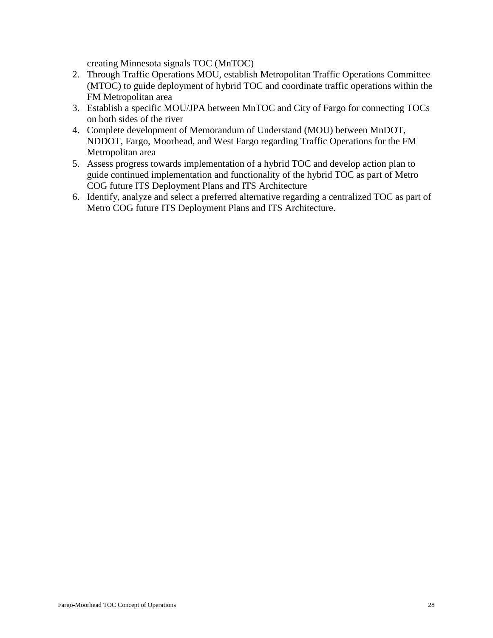creating Minnesota signals TOC (MnTOC)

- 2. Through Traffic Operations MOU, establish Metropolitan Traffic Operations Committee (MTOC) to guide deployment of hybrid TOC and coordinate traffic operations within the FM Metropolitan area
- 3. Establish a specific MOU/JPA between MnTOC and City of Fargo for connecting TOCs on both sides of the river
- 4. Complete development of Memorandum of Understand (MOU) between MnDOT, NDDOT, Fargo, Moorhead, and West Fargo regarding Traffic Operations for the FM Metropolitan area
- 5. Assess progress towards implementation of a hybrid TOC and develop action plan to guide continued implementation and functionality of the hybrid TOC as part of Metro COG future ITS Deployment Plans and ITS Architecture
- 6. Identify, analyze and select a preferred alternative regarding a centralized TOC as part of Metro COG future ITS Deployment Plans and ITS Architecture.